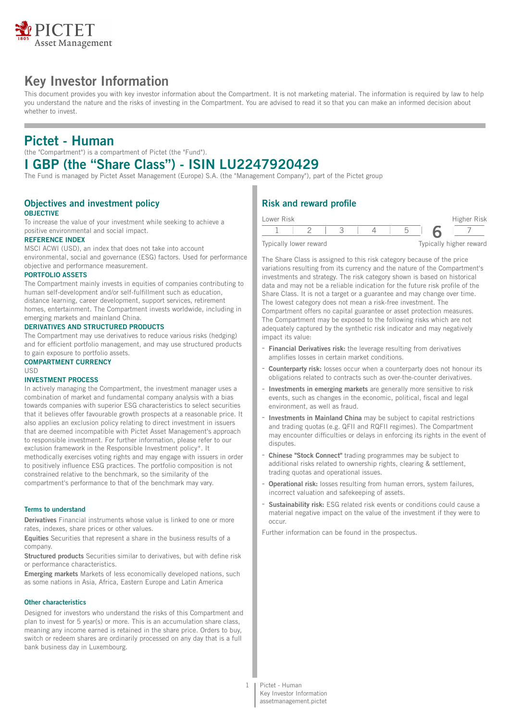

# **Key Investor Information**

This document provides you with key investor information about the Compartment. It is not marketing material. The information is required by law to help you understand the nature and the risks of investing in the Compartment. You are advised to read it so that you can make an informed decision about whether to invest.

# **Pictet - Human**

(the "Compartment") is a compartment of Pictet (the "Fund").

# **I GBP (the "Share Class") - ISIN LU2247920429**

The Fund is managed by Pictet Asset Management (Europe) S.A. (the "Management Company"), part of the Pictet group

### **Objectives and investment policy OBJECTIVE**

To increase the value of your investment while seeking to achieve a positive environmental and social impact.

### **REFERENCE INDEX**

MSCI ACWI (USD), an index that does not take into account environmental, social and governance (ESG) factors. Used for performance objective and performance measurement.

#### **PORTFOLIO ASSETS**

The Compartment mainly invests in equities of companies contributing to human self-development and/or self-fulfillment such as education, distance learning, career development, support services, retirement homes, entertainment. The Compartment invests worldwide, including in emerging markets and mainland China.

#### **DERIVATIVES AND STRUCTURED PRODUCTS**

The Compartment may use derivatives to reduce various risks (hedging) and for efficient portfolio management, and may use structured products to gain exposure to portfolio assets.

#### **COMPARTMENT CURRENCY** USD

#### **INVESTMENT PROCESS**

In actively managing the Compartment, the investment manager uses a combination of market and fundamental company analysis with a bias towards companies with superior ESG characteristics to select securities that it believes offer favourable growth prospects at a reasonable price. It also applies an exclusion policy relating to direct investment in issuers that are deemed incompatible with Pictet Asset Management's approach to responsible investment. For further information, please refer to our exclusion framework in the Responsible Investment policy\*. It methodically exercises voting rights and may engage with issuers in order to positively influence ESG practices. The portfolio composition is not constrained relative to the benchmark, so the similarity of the compartment's performance to that of the benchmark may vary.

#### **Terms to understand**

**Derivatives** Financial instruments whose value is linked to one or more rates, indexes, share prices or other values.

**Equities** Securities that represent a share in the business results of a company.

**Structured products** Securities similar to derivatives, but with define risk or performance characteristics.

**Emerging markets** Markets of less economically developed nations, such as some nations in Asia, Africa, Eastern Europe and Latin America

#### **Other characteristics**

Designed for investors who understand the risks of this Compartment and plan to invest for 5 year(s) or more. This is an accumulation share class, meaning any income earned is retained in the share price. Orders to buy, switch or redeem shares are ordinarily processed on any day that is a full bank business day in Luxembourg.

## **Risk and reward profile**

| Lower Risk |                        |  |  | Higher Risk             |
|------------|------------------------|--|--|-------------------------|
|            |                        |  |  |                         |
|            | Typically lower reward |  |  | Typically higher reward |

The Share Class is assigned to this risk category because of the price variations resulting from its currency and the nature of the Compartment's investments and strategy. The risk category shown is based on historical data and may not be a reliable indication for the future risk profile of the Share Class. It is not a target or a guarantee and may change over time. The lowest category does not mean a risk-free investment. The Compartment offers no capital guarantee or asset protection measures. The Compartment may be exposed to the following risks which are not adequately captured by the synthetic risk indicator and may negatively impact its value:

- **Financial Derivatives risk:** the leverage resulting from derivatives amplifies losses in certain market conditions.
- **Counterparty risk:** losses occur when a counterparty does not honour its obligations related to contracts such as over-the-counter derivatives.
- **Investments in emerging markets** are generally more sensitive to risk events, such as changes in the economic, political, fiscal and legal environment, as well as fraud.
- **Investments in Mainland China** may be subject to capital restrictions and trading quotas (e.g. QFII and RQFII regimes). The Compartment may encounter difficulties or delays in enforcing its rights in the event of disputes.
- **Chinese "Stock Connect"** trading programmes may be subject to additional risks related to ownership rights, clearing & settlement, trading quotas and operational issues.
- **Operational risk:** losses resulting from human errors, system failures, incorrect valuation and safekeeping of assets.
- **Sustainability risk:** ESG related risk events or conditions could cause a material negative impact on the value of the investment if they were to occur.

Further information can be found in the prospectus.